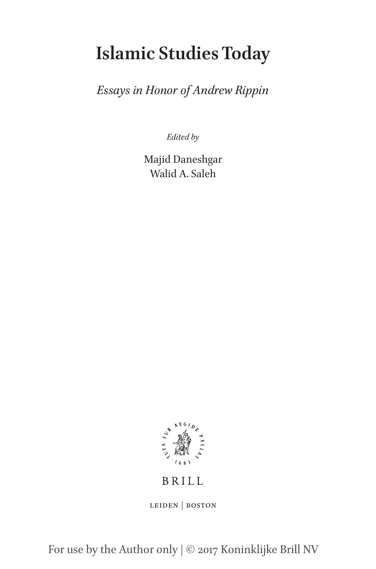# **Islamic Studies Today**

*Essays in Honor of Andrew Rippin*

*Edited by* 

Majid Daneshgar Walid A. Saleh



# **BRILL**

LEIDEN | BOSTON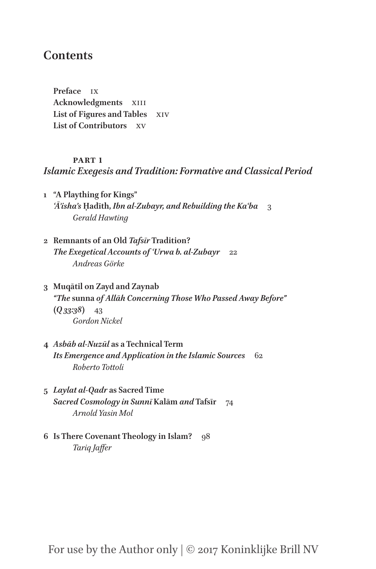### **Contents**

**Preface** ix **Acknowledgments** xiii **List of Figures and Tables** xiv **List of Contributors** xv

#### **Part 1** *Islamic Exegesis and Tradition: Formative and Classical Period*

- **1 "A Plaything for Kings"** *ʿĀʾisha's* **Ḥadīth,** *Ibn al-Zubayr, and Rebuilding the Kaʿba* 3 *Gerald Hawting*
- **2 Remnants of an Old** *Tafsīr* **Tradition?**  *The Exegetical Accounts of ʿUrwa b. al-Zubayr* 22 *Andreas Görke*
- **3 Muqātil on Zayd and Zaynab**  *"The* **sunna** *of Allāh Concerning Those Who Passed Away Before" (Q 33:38)* 43 *Gordon Nickel*
- **4** *Asbāb al-Nuzūl* **as a Technical Term** *Its Emergence and Application in the Islamic Sources* 62 *Roberto Tottoli*
- **5** *Laylat al-Qadr* **as Sacred Time** *Sacred Cosmology in Sunnī* **Kalām** *and* **Tafsīr** 74 *Arnold Yasin Mol*
- **6 Is There Covenant Theology in Islam?** 98 *Tariq Jafffer*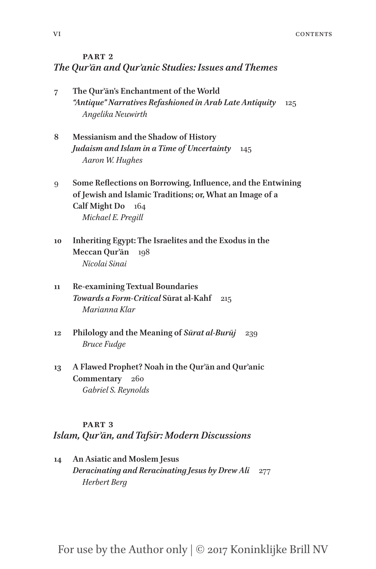#### **Part 2** *The Qurʾān and Qurʾanic Studies: Issues and Themes*

- **7 The Qurʾān's Enchantment of the World** *"Antique" Narratives Refashioned in Arab Late Antiquity* 125 *Angelika Neuwirth*
- **8 Messianism and the Shadow of History** *Judaism and Islam in a Time of Uncertainty* 145 *Aaron W. Hughes*
- 9 **Some Reflections on Borrowing, Influence, and the Entwining of Jewish and Islamic Traditions; or, What an Image of a Calf Might Do** 164 *Michael E. Pregill*
- **10 Inheriting Egypt: The Israelites and the Exodus in the Meccan Qurʾān** 198 *Nicolai Sinai*
- **11 Re-examining Textual Boundaries** *Towards a Form-Critical* **Sūrat al-Kahf** 215 *Marianna Klar*
- **12 Philology and the Meaning of** *Sūrat al-Burūj* 239 *Bruce Fudge*
- **13 A Flawed Prophet? Noah in the Qurʾān and Qurʾanic Commentary** 260 *Gabriel S. Reynolds*

#### **Part 3**

#### *Islam, Qurʾān, and Tafsīr: Modern Discussions*

**14 An Asiatic and Moslem Jesus** *Deracinating and Reracinating Jesus by Drew Ali* 277 *Herbert Berg*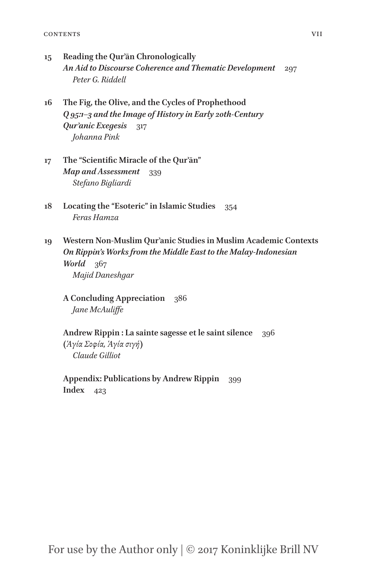- **15 Reading the Qurʾān Chronologically** *An Aid to Discourse Coherence and Thematic Development* 297 *Peter G. Riddell*
- **16 The Fig, the Olive, and the Cycles of Prophethood** *Q 95:1–3 and the Image of History in Early 20th-Century Qur'anic Exegesis* 317 *Johanna Pink*
- 17 The "Scientific Miracle of the Qur'ān" *Map and Assessment* 339 *Stefano Bigliardi*
- **18 Locating the "Esoteric" in Islamic Studies** 354 *Feras Hamza*
- **19 Western Non-Muslim Qurʾanic Studies in Muslim Academic Contexts**  *On Rippin's Works from the Middle East to the Malay-Indonesian World* 367 *Majid Daneshgar*
	- **A Concluding Appreciation** 386 *Jane McAulifffe*

**Andrew Rippin : La sainte sagesse et le saint silence** 396 *(Ἁγία Σοφία, Ἁγία σιγή) Claude Gilliot*

**Appendix: Publications by Andrew Rippin** 399 **Index** 423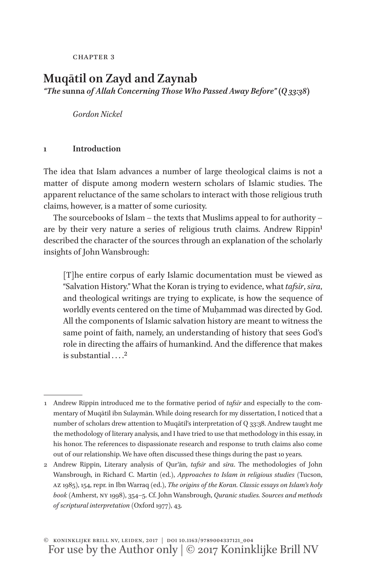#### **CHAPTER 3**

# **Muqātil on Zayd and Zaynab**

*"The* **sunna** *of Allah Concerning Those Who Passed Away Before" (Q 33:38)*

*Gordon Nickel*

#### **1 Introduction**

The idea that Islam advances a number of large theological claims is not a matter of dispute among modern western scholars of Islamic studies. The apparent reluctance of the same scholars to interact with those religious truth claims, however, is a matter of some curiosity.

The sourcebooks of Islam – the texts that Muslims appeal to for authority – are by their very nature a series of religious truth claims. Andrew Rippin<sup>1</sup> described the character of the sources through an explanation of the scholarly insights of John Wansbrough:

[T]he entire corpus of early Islamic documentation must be viewed as "Salvation History." What the Koran is trying to evidence, what *tafsīr*, *sīra*, and theological writings are trying to explicate, is how the sequence of worldly events centered on the time of Muḥammad was directed by God. All the components of Islamic salvation history are meant to witness the same point of faith, namely, an understanding of history that sees God's role in directing the affairs of humankind. And the difference that makes is substantial  $\dots^2$ 

<sup>1</sup> Andrew Rippin introduced me to the formative period of *tafsīr* and especially to the commentary of Muqātil ibn Sulaymān. While doing research for my dissertation, I noticed that a number of scholars drew attention to Muqātil's interpretation of Q 33:38. Andrew taught me the methodology of literary analysis, and I have tried to use that methodology in this essay, in his honor. The references to dispassionate research and response to truth claims also come out of our relationship. We have often discussed these things during the past 10 years.

<sup>2</sup> Andrew Rippin, Literary analysis of Qurʾān, *tafsīr* and *sīra*. The methodologies of John Wansbrough, in Richard C. Martin (ed.), *Approaches to Islam in religious studies* (Tucson, AZ 1985), 154, repr. in Ibn Warraq (ed.), *The origins of the Koran. Classic essays on Islam's holy book* (Amherst, NY 1998), 354–5. Cf. John Wansbrough, *Quranic studies. Sources and methods of scriptural interpretation* (Oxford 1977), 43.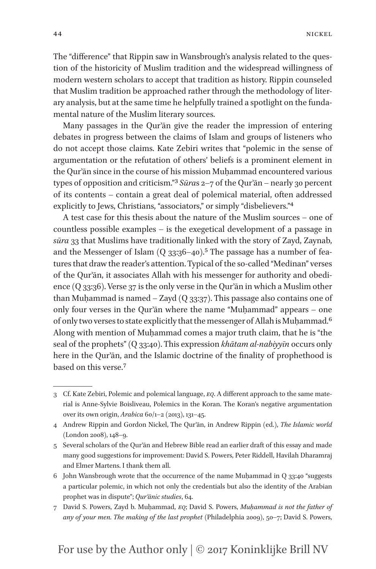The "difference" that Rippin saw in Wansbrough's analysis related to the question of the historicity of Muslim tradition and the widespread willingness of modern western scholars to accept that tradition as history. Rippin counseled that Muslim tradition be approached rather through the methodology of literary analysis, but at the same time he helpfully trained a spotlight on the fundamental nature of the Muslim literary sources.

Many passages in the Qurʾān give the reader the impression of entering debates in progress between the claims of Islam and groups of listeners who do not accept those claims. Kate Zebiri writes that "polemic in the sense of argumentation or the refutation of others' beliefs is a prominent element in the Qur'ān since in the course of his mission Muhammad encountered various types of opposition and criticism."3 *Sūra*s 2–7 of the Qurʾān – nearly 30 percent of its contents – contain a great deal of polemical material, often addressed explicitly to Jews, Christians, "associators," or simply "disbelievers."4

A test case for this thesis about the nature of the Muslim sources – one of countless possible examples – is the exegetical development of a passage in *sūra* 33 that Muslims have traditionally linked with the story of Zayd, Zaynab, and the Messenger of Islam  $(Q_{33:36-40})$ .<sup>5</sup> The passage has a number of features that draw the reader's attention. Typical of the so-called "Medinan" verses of the Qurʾān, it associates Allah with his messenger for authority and obedience (Q 33:36). Verse 37 is the only verse in the Qurʾān in which a Muslim other than Muḥammad is named  $-$  Zayd (Q 33:37). This passage also contains one of only four verses in the Qurʾān where the name "Muḥammad" appears – one of only two verses to state explicitly that the messenger of Allah is Muḥammad.6 Along with mention of Muhammad comes a major truth claim, that he is "the seal of the prophets" (Q 33:40). This expression *khātam al-nabiyyīn* occurs only here in the Qur'ān, and the Islamic doctrine of the finality of prophethood is based on this verse.7

<sup>3</sup> Cf. Kate Zebiri, Polemic and polemical language, *EQ*. A diffferent approach to the same material is Anne-Sylvie Boisliveau, Polemics in the Koran. The Koran's negative argumentation over its own origin, *Arabica* 60/1–2 (2013), 131–45.

<sup>4</sup> Andrew Rippin and Gordon Nickel, The Qurʾān, in Andrew Rippin (ed.), *The Islamic world* (London 2008), 148–9.

<sup>5</sup> Several scholars of the Qurʾān and Hebrew Bible read an earlier draft of this essay and made many good suggestions for improvement: David S. Powers, Peter Riddell, Havilah Dharamraj and Elmer Martens. I thank them all.

<sup>6</sup> John Wansbrough wrote that the occurrence of the name Muḥammad in Q 33:40 "suggests a particular polemic, in which not only the credentials but also the identity of the Arabian prophet was in dispute"; *Qurʾānic studies*, 64.

<sup>7</sup> David S. Powers, Zayd b. Muḥammad, *EQ*; David S. Powers, *Muḥammad is not the father of any of your men. The making of the last prophet* (Philadelphia 2009), 50–7; David S. Powers,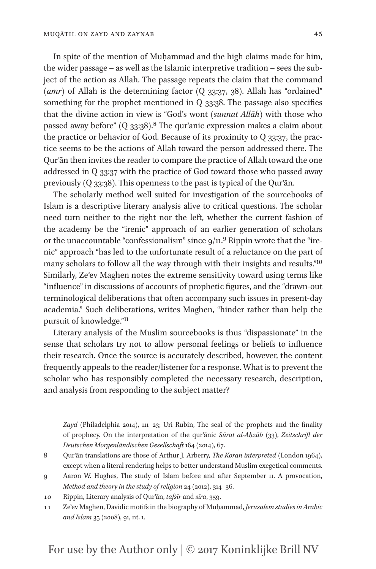In spite of the mention of Muḥammad and the high claims made for him, the wider passage – as well as the Islamic interpretive tradition – sees the subject of the action as Allah. The passage repeats the claim that the command *(amr)* of Allah is the determining factor (Q 33:37, 38). Allah has "ordained" something for the prophet mentioned in  $Q$  33:38. The passage also specifies that the divine action in view is "God's wont *(sunnat Allāh)* with those who passed away before" (Q 33:38).8 The qurʾanic expression makes a claim about the practice or behavior of God. Because of its proximity to Q 33:37, the practice seems to be the actions of Allah toward the person addressed there. The Qurʾān then invites the reader to compare the practice of Allah toward the one addressed in Q 33:37 with the practice of God toward those who passed away previously (Q 33:38). This openness to the past is typical of the Qurʾān.

The scholarly method well suited for investigation of the sourcebooks of Islam is a descriptive literary analysis alive to critical questions. The scholar need turn neither to the right nor the left, whether the current fashion of the academy be the "irenic" approach of an earlier generation of scholars or the unaccountable "confessionalism" since  $9/11.9$  Rippin wrote that the "irenic" approach "has led to the unfortunate result of a reluctance on the part of many scholars to follow all the way through with their insights and results."10 Similarly, Zeʾev Maghen notes the extreme sensitivity toward using terms like "influence" in discussions of accounts of prophetic figures, and the "drawn-out terminological deliberations that often accompany such issues in present-day academia." Such deliberations, writes Maghen, "hinder rather than help the pursuit of knowledge."11

Literary analysis of the Muslim sourcebooks is thus "dispassionate" in the sense that scholars try not to allow personal feelings or beliefs to influence their research. Once the source is accurately described, however, the content frequently appeals to the reader/listener for a response. What is to prevent the scholar who has responsibly completed the necessary research, description, and analysis from responding to the subject matter?

Zayd (Philadelphia 2014), 111–23; Uri Rubin, The seal of the prophets and the finality of prophecy. On the interpretation of the qurʾānic *Sūrat al-Aḥzāb* (33), *Zeitschrift der Deutschen Morgenländischen Gesellschaft* 164 (2014), 67.

<sup>8</sup> Qurʾān translations are those of Arthur J. Arberry, *The Koran interpreted* (London 1964), except when a literal rendering helps to better understand Muslim exegetical comments.

<sup>9</sup> Aaron W. Hughes, The study of Islam before and after September 11. A provocation, *Method and theory in the study of religion* 24 (2012), 314–36.

<sup>10</sup> Rippin, Literary analysis of Qurʾān, *tafsīr* and *sīra*, 359.

<sup>11</sup> Zeʾev Maghen, Davidic motifs in the biography of Muḥammad, *Jerusalem studies in Arabic and Islam* 35 (2008), 91, nt. 1.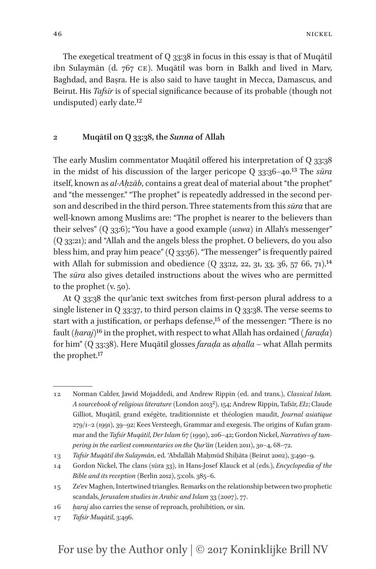The exegetical treatment of Q 33:38 in focus in this essay is that of Muqātil ibn Sulaymān (d. 767 CE). Muqātil was born in Balkh and lived in Marv, Baghdad, and Baṣra. He is also said to have taught in Mecca, Damascus, and Beirut. His *Tafsīr* is of special significance because of its probable (though not undisputed) early date.12

#### **2 Muqātil on Q 33:38, the** *Sunna* **of Allah**

The early Muslim commentator Muqātil offered his interpretation of Q 33:38 in the midst of his discussion of the larger pericope Q 33:36–40.13 The *sūra* itself, known as *al-Ahzāb*, contains a great deal of material about "the prophet" and "the messenger." "The prophet" is repeatedly addressed in the second person and described in the third person. Three statements from this *sūra* that are well-known among Muslims are: "The prophet is nearer to the believers than their selves" (Q 33:6); "You have a good example *(uswa)* in Allah's messenger" (Q 33:21); and "Allah and the angels bless the prophet. O believers, do you also bless him, and pray him peace" (Q 33:56). "The messenger" is frequently paired with Allah for submission and obedience  $(Q_{33:12, 22, 31, 33, 36, 57, 66, 71})$ <sup>14</sup> The *sūra* also gives detailed instructions about the wives who are permitted to the prophet  $(v. 50)$ .

At  $Q$  33:38 the qur'anic text switches from first-person plural address to a single listener in Q 33:37, to third person claims in Q 33:38. The verse seems to start with a justification, or perhaps defense,<sup>15</sup> of the messenger: "There is no fault *(ḥaraj)*16 in the prophet, with respect to what Allah has ordained *( faraḍa)* for him" (Q 33:38). Here Muqātil glosses *faraḍa* as *aḥalla* – what Allah permits the prophet.17

<sup>12</sup> Norman Calder, Jawid Mojaddedi, and Andrew Rippin (ed. and trans.), *Classical Islam. A sourcebook of religious literature* (London 20132), 154; Andrew Rippin, Tafsīr, *EI2*; Claude Gilliot, Muqātil, grand exégète, traditionniste et théologien maudit, *Journal asiatique* 279/1–2 (1991), 39–92; Kees Versteegh, Grammar and exegesis. The origins of Kufan grammar and the *Tafsīr Muqātil*, *Der Islam* 67 (1990), 206–42; Gordon Nickel, *Narratives of tampering in the earliest commentaries on the Qurʾān* (Leiden 2011), 30–4, 68–72.

<sup>13</sup> *Tafsīr Muqātil ibn Sulaymān*, ed. ʿAbdallāh Maḥmūd Shiḥāta (Beirut 2002), 3:490–9.

<sup>14</sup> Gordon Nickel, The clans (sūra 33), in Hans-Josef Klauck et al (eds.), *Encyclopedia of the Bible and its reception* (Berlin 2012), 5:cols. 385–6.

<sup>15</sup> Ze'ev Maghen, Intertwined triangles. Remarks on the relationship between two prophetic scandals, *Jerusalem studies in Arabic and Islam* 33 (2007), 77.

<sup>16</sup> *ḥaraj* also carries the sense of reproach, prohibition, or sin.

<sup>17</sup> *Tafsīr Muqātil*, 3:496.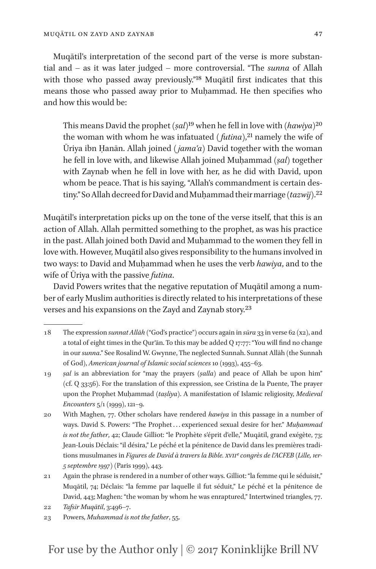Muqātil's interpretation of the second part of the verse is more substantial and – as it was later judged – more controversial. "The *sunna* of Allah with those who passed away previously."<sup>18</sup> Muqātil first indicates that this means those who passed away prior to Muhammad. He then specifies who and how this would be:

This means David the prophet *(ṣal)*19 when he fell in love with *(hawiya)*20 the woman with whom he was infatuated *(futina)*,<sup>21</sup> namely the wife of Ūriya ibn Ḥanān. Allah joined *( jamaʿa)* David together with the woman he fell in love with, and likewise Allah joined Muhammad *(sal)* together with Zaynab when he fell in love with her, as he did with David, upon whom be peace. That is his saying, "Allah's commandment is certain destiny." So Allah decreed for David and Muḥammad their marriage *(tazwīj)*.22

Muqātil's interpretation picks up on the tone of the verse itself, that this is an action of Allah. Allah permitted something to the prophet, as was his practice in the past. Allah joined both David and Muḥammad to the women they fell in love with. However, Muqātil also gives responsibility to the humans involved in two ways: to David and Muḥammad when he uses the verb *hawiya*, and to the wife of Ūriya with the passive *futina*.

David Powers writes that the negative reputation of Muqātil among a number of early Muslim authorities is directly related to his interpretations of these verses and his expansions on the Zayd and Zaynab story.23

18 The expression *sunnat Allāh* ("God's practice") occurs again in *sūra* 33 in verse 62 (x2), and a total of eight times in the Our'ān. To this may be added O 17:77: "You will find no change in our *sunna*." See Rosalind W. Gwynne, The neglected Sunnah. Sunnat Allāh (the Sunnah of God), *American journal of Islamic social sciences* 10 (1993), 455–63.

19 *ṣal* is an abbreviation for "may the prayers *(ṣalla)* and peace of Allah be upon him" (cf. Q 33:56). For the translation of this expression, see Cristina de la Puente, The prayer upon the Prophet Muḥammad *(taṣliya)*. A manifestation of Islamic religiosity, *Medieval Encounters* 5/1 (1999), 121–9.

20 With Maghen, 77. Other scholars have rendered *hawiya* in this passage in a number of ways. David S. Powers: "The Prophet . . . experienced sexual desire for her." *Muḥammad is not the father*, 42; Claude Gilliot: "le Prophète s'éprit d'elle," Muqātil, grand exégète, 73; Jean-Louis Déclais: "il désira," Le péché et la pénitence de David dans les premières traditions musulmanes in *Figures de David à travers la Bible. XVIIe congrès de l'ACFEB (Lille, 1er-5 septembre 1997)* (Paris 1999), 443.

- 21 Again the phrase is rendered in a number of other ways. Gilliot: "la femme qui le séduisit," Muqātil, 74; Déclais: "la femme par laquelle il fut séduit," Le péché et la pénitence de David, 443; Maghen: "the woman by whom he was enraptured," Intertwined triangles, 77.
- 22 *Tafsīr Muqātil*, 3:496–7.

<sup>23</sup> Powers, *Muhammad is not the father*, 55.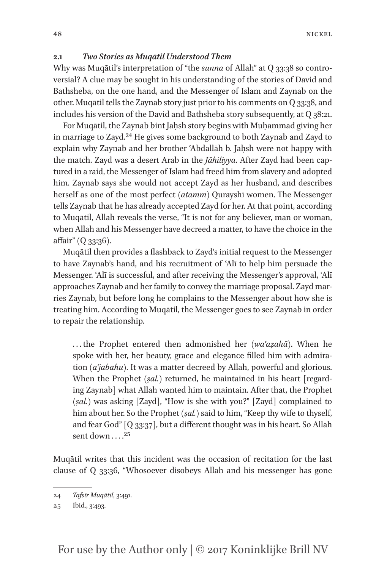#### **2.1** *Two Stories as Muqātil Understood Them*

Why was Muqātil's interpretation of "the *sunna* of Allah" at Q 33:38 so controversial? A clue may be sought in his understanding of the stories of David and Bathsheba, on the one hand, and the Messenger of Islam and Zaynab on the other. Muqātil tells the Zaynab story just prior to his comments on Q 33:38, and includes his version of the David and Bathsheba story subsequently, at Q 38:21.

For Muqātil, the Zaynab bint Jahsh story begins with Muhammad giving her in marriage to Zayd.24 He gives some background to both Zaynab and Zayd to explain why Zaynab and her brother 'Abdallāh b. Jahsh were not happy with the match. Zayd was a desert Arab in the *Jāhiliyya*. After Zayd had been captured in a raid, the Messenger of Islam had freed him from slavery and adopted him. Zaynab says she would not accept Zayd as her husband, and describes herself as one of the most perfect *(atamm)* Qurayshī women. The Messenger tells Zaynab that he has already accepted Zayd for her. At that point, according to Muqātil, Allah reveals the verse, "It is not for any believer, man or woman, when Allah and his Messenger have decreed a matter, to have the choice in the affair"  $(Q_{33:36})$ .

Muqātil then provides a flashback to Zayd's initial request to the Messenger to have Zaynab's hand, and his recruitment of ʿAlī to help him persuade the Messenger. ʿAlī is successful, and after receiving the Messenger's approval, ʿAlī approaches Zaynab and her family to convey the marriage proposal. Zayd marries Zaynab, but before long he complains to the Messenger about how she is treating him. According to Muqātil, the Messenger goes to see Zaynab in order to repair the relationship.

. . . the Prophet entered then admonished her *(waʿaẓahā)*. When he spoke with her, her beauty, grace and elegance filled him with admiration *(aʿjabahu)*. It was a matter decreed by Allah, powerful and glorious. When the Prophet *(ṣal.)* returned, he maintained in his heart [regarding Zaynab] what Allah wanted him to maintain. After that, the Prophet *(ṣal.)* was asking [Zayd], "How is she with you?" [Zayd] complained to him about her. So the Prophet *(ṣal.)* said to him, "Keep thy wife to thyself, and fear God" [Q 33:37], but a different thought was in his heart. So Allah sent down  $\dots^{25}$ 

Muqātil writes that this incident was the occasion of recitation for the last clause of Q 33:36, "Whosoever disobeys Allah and his messenger has gone

<sup>24</sup> *Tafsīr Muqātil*, 3:491.

<sup>25</sup> Ibid., 3:493.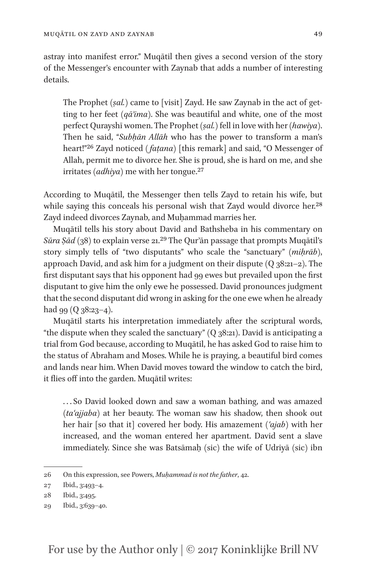astray into manifest error." Muqātil then gives a second version of the story of the Messenger's encounter with Zaynab that adds a number of interesting details.

The Prophet *(ṣal.)* came to [visit] Zayd. He saw Zaynab in the act of getting to her feet *(qāʾima)*. She was beautiful and white, one of the most perfect Qurayshī women. The Prophet *(ṣal.)* fell in love with her *(hawiya)*. Then he said, "*Subhān Allāh* who has the power to transform a man's heart!"26 Zayd noticed *( faṭana)* [this remark] and said, "O Messenger of Allah, permit me to divorce her. She is proud, she is hard on me, and she irritates *(adhiya)* me with her tongue.<sup>27</sup>

According to Muqātil, the Messenger then tells Zayd to retain his wife, but while saying this conceals his personal wish that Zayd would divorce her.<sup>28</sup> Zayd indeed divorces Zaynab, and Muḥammad marries her.

Muqātil tells his story about David and Bathsheba in his commentary on *Sūra Ṣād* (38) to explain verse 21.29 The Qurʾān passage that prompts Muqātil's story simply tells of "two disputants" who scale the "sanctuary" *(miḥrāb)*, approach David, and ask him for a judgment on their dispute  $(Q_38:21-2)$ . The first disputant says that his opponent had 99 ewes but prevailed upon the first disputant to give him the only ewe he possessed. David pronounces judgment that the second disputant did wrong in asking for the one ewe when he already had 99 (Q 38:23–4).

Muqātil starts his interpretation immediately after the scriptural words, "the dispute when they scaled the sanctuary" (Q 38:21). David is anticipating a trial from God because, according to Muqātil, he has asked God to raise him to the status of Abraham and Moses. While he is praying, a beautiful bird comes and lands near him. When David moves toward the window to catch the bird, it flies off into the garden. Muqātil writes:

. . . So David looked down and saw a woman bathing, and was amazed *(taʿajjaba)* at her beauty. The woman saw his shadow, then shook out her hair [so that it] covered her body. His amazement *(ʿajab)* with her increased, and the woman entered her apartment. David sent a slave immediately. Since she was Batsāmaḥ (sic) the wife of Udriyā (sic) ibn

<sup>26</sup> On this expression, see Powers, *Muḥammad is not the father*, 42.

<sup>27</sup> Ibid., 3:493–4.

<sup>28</sup> Ibid., 3:495.

<sup>29</sup> Ibid., 3:639–40.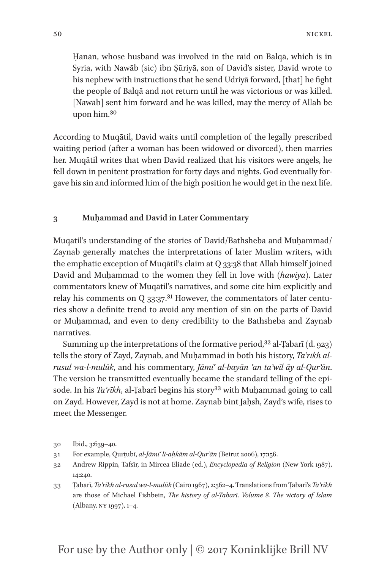Ḥanān, whose husband was involved in the raid on Balqā, which is in Syria, with Nawāb (sic) ibn Ṣūriyā, son of David's sister, David wrote to his nephew with instructions that he send Udriyā forward, [that] he fight the people of Balqā and not return until he was victorious or was killed. [Nawāb] sent him forward and he was killed, may the mercy of Allah be upon him.30

According to Muqātil, David waits until completion of the legally prescribed waiting period (after a woman has been widowed or divorced), then marries her. Muqātil writes that when David realized that his visitors were angels, he fell down in penitent prostration for forty days and nights. God eventually forgave his sin and informed him of the high position he would get in the next life.

#### **3 Muḥammad and David in Later Commentary**

Muqatil's understanding of the stories of David/Bathsheba and Muḥammad/ Zaynab generally matches the interpretations of later Muslim writers, with the emphatic exception of Muqātil's claim at Q 33:38 that Allah himself joined David and Muḥammad to the women they fell in love with *(hawiya)*. Later commentators knew of Muqātil's narratives, and some cite him explicitly and relay his comments on Q  $33:37<sup>31</sup>$  However, the commentators of later centuries show a definite trend to avoid any mention of sin on the parts of David or Muḥammad, and even to deny credibility to the Bathsheba and Zaynab narratives.

Summing up the interpretations of the formative period,<sup>32</sup> al-Țabarī (d. 923) tells the story of Zayd, Zaynab, and Muḥammad in both his history, *Ta ʾrīkh alrusul wa-l-mulūk*, and his commentary, *Jāmiʿ al-bayān ʿan ta ʾwīl āy al-Qurʾān*. The version he transmitted eventually became the standard telling of the episode. In his *Ta'rīkh*, al-Ṭabarī begins his story<sup>33</sup> with Muḥammad going to call on Zayd. However, Zayd is not at home. Zaynab bint Jaḥsh, Zayd's wife, rises to meet the Messenger.

<sup>30</sup> Ibid., 3:639–40.

<sup>31</sup> For example, Qurṭubī, *al-Jāmiʿ li-aḥkām al-Qurʾān* (Beirut 2006), 17:156.

<sup>32</sup> Andrew Rippin, Tafsīr, in Mircea Eliade (ed.), *Encyclopedia of Religion* (New York 1987), 14:240.

<sup>33</sup> Ṭabarī, *Ta ʾrīkh al-rusul wa-l-mulūk* (Cairo 1967), 2:562–4. Translations from Ṭabarī's *Ta ʾrīkh* are those of Michael Fishbein, *The history of al-Ṭabarī*. *Volume 8. The victory of Islam*  (Albany, NY 1997), 1–4.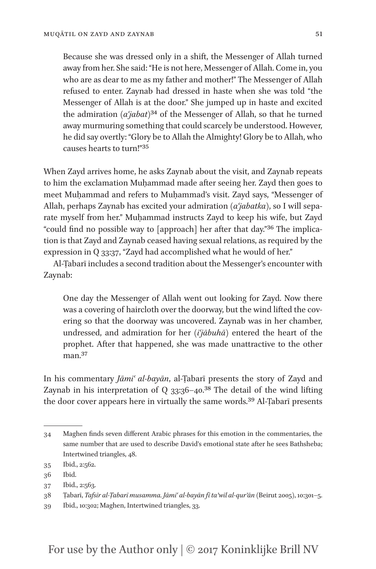Because she was dressed only in a shift, the Messenger of Allah turned away from her. She said: "He is not here, Messenger of Allah. Come in, you who are as dear to me as my father and mother!" The Messenger of Allah refused to enter. Zaynab had dressed in haste when she was told "the Messenger of Allah is at the door." She jumped up in haste and excited the admiration *(aʿjabat)*34 of the Messenger of Allah, so that he turned away murmuring something that could scarcely be understood. However, he did say overtly: "Glory be to Allah the Almighty! Glory be to Allah, who causes hearts to turn!"35

When Zayd arrives home, he asks Zaynab about the visit, and Zaynab repeats to him the exclamation Muḥammad made after seeing her. Zayd then goes to meet Muḥammad and refers to Muḥammad's visit. Zayd says, "Messenger of Allah, perhaps Zaynab has excited your admiration *(aʿjabatka)*, so I will separate myself from her." Muḥammad instructs Zayd to keep his wife, but Zayd "could find no possible way to [approach] her after that day."36 The implication is that Zayd and Zaynab ceased having sexual relations, as required by the expression in Q 33:37, "Zayd had accomplished what he would of her."

Al-Ṭabarī includes a second tradition about the Messenger's encounter with Zaynab:

One day the Messenger of Allah went out looking for Zayd. Now there was a covering of haircloth over the doorway, but the wind lifted the covering so that the doorway was uncovered. Zaynab was in her chamber, undressed, and admiration for her *(iʿjābuhā)* entered the heart of the prophet. After that happened, she was made unattractive to the other man.<sup>37</sup>

In his commentary *Jāmiʿ al-bayān*, al-Ṭabarī presents the story of Zayd and Zaynab in his interpretation of Q  $33:36-40.^{38}$  The detail of the wind lifting the door cover appears here in virtually the same words.39 Al-Ṭabarī presents

37 Ibid., 2:563.

<sup>34</sup> Maghen finds seven different Arabic phrases for this emotion in the commentaries, the same number that are used to describe David's emotional state after he sees Bathsheba; Intertwined triangles, 48.

<sup>35</sup> Ibid., 2:562.

<sup>36</sup> Ibid.

<sup>38</sup> Ṭabarī, *Tafsīr al-Ṭabarī musamma. Jāmiʿ al-bayān fī ta ʾwīl al-qurʾān* (Beirut 2005), 10:301–5.

<sup>39</sup> Ibid., 10:302; Maghen, Intertwined triangles, 33.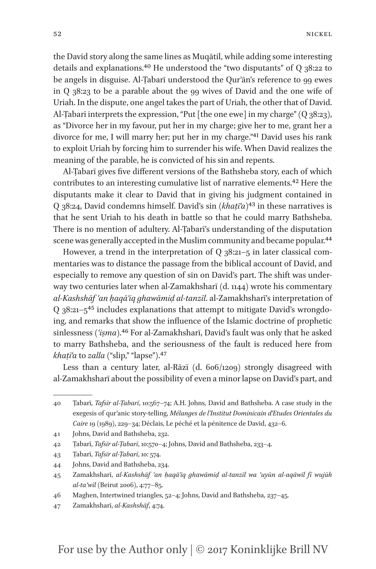the David story along the same lines as Muqātil, while adding some interesting details and explanations.40 He understood the "two disputants" of Q 38:22 to be angels in disguise. Al-Ṭabarī understood the Qurʾān's reference to 99 ewes in Q 38:23 to be a parable about the 99 wives of David and the one wife of Uriah. In the dispute, one angel takes the part of Uriah, the other that of David. Al-Țabarī interprets the expression, "Put [the one ewe] in my charge" (Q 38:23), as "Divorce her in my favour, put her in my charge; give her to me, grant her a divorce for me, I will marry her; put her in my charge."41 David uses his rank to exploit Uriah by forcing him to surrender his wife. When David realizes the meaning of the parable, he is convicted of his sin and repents.

Al-Tabarī gives five different versions of the Bathsheba story, each of which contributes to an interesting cumulative list of narrative elements.42 Here the disputants make it clear to David that in giving his judgment contained in Q 38:24, David condemns himself. David's sin *(khaṭīʾa)*43 in these narratives is that he sent Uriah to his death in battle so that he could marry Bathsheba. There is no mention of adultery. Al-Ṭabarī's understanding of the disputation scene was generally accepted in the Muslim community and became popular.<sup>44</sup>

However, a trend in the interpretation of Q 38:21–5 in later classical commentaries was to distance the passage from the biblical account of David, and especially to remove any question of sin on David's part. The shift was underway two centuries later when al-Zamakhsharī (d. 1144) wrote his commentary *al-Kashshāf ʿan ḥaqāʾiq ghawāmiḍ al-tanzīl*. al-Zamakhsharī's interpretation of Q  $38:21-5^{45}$  includes explanations that attempt to mitigate David's wrongdoing, and remarks that show the influence of the Islamic doctrine of prophetic sinlessness *(ʿiṣma)*.46 For al-Zamakhsharī, David's fault was only that he asked to marry Bathsheba, and the seriousness of the fault is reduced here from *khaṭīʾa* to *zalla* ("slip," "lapse").47

Less than a century later, al-Rāzī (d. 606/1209) strongly disagreed with al-Zamakhsharī about the possibility of even a minor lapse on David's part, and

<sup>40</sup> Ṭabarī, *Tafsīr al-Ṭabarī*, 10:567–74; A.H. Johns, David and Bathsheba. A case study in the exegesis of qurʾanic story-telling, *Mélanges de l'Institut Dominicain d'Etudes Orientales du Caire* 19 (1989), 229–34; Déclais, Le péché et la pénitence de David, 432–6.

<sup>41</sup> Johns, David and Bathsheba, 232.

<sup>42</sup> Ṭabarī, *Tafsīr al-Ṭabarī*, 10:570–4; Johns, David and Bathsheba, 233–4.

<sup>43</sup> Ṭabarī, *Tafsīr al-Ṭabarī*, 10: 574.

<sup>44</sup> Johns, David and Bathsheba, 234.

<sup>45</sup> Zamakhsharī, *al-Kashshāf ʿan ḥaqāʾiq ghawāmiḍ al-tanzīl wa ʿuyūn al-aqāwīl fī wujūh al-ta ʾwīl* (Beirut 2006), 4:77–85.

<sup>46</sup> Maghen, Intertwined triangles, 52–4; Johns, David and Bathsheba, 237–45.

<sup>47</sup> Zamakhsharī, *al-Kashshāf*, 4:74.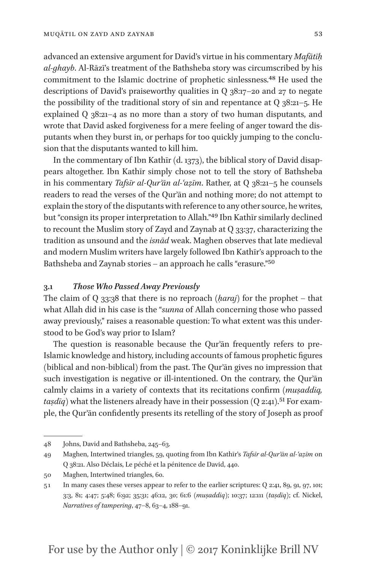advanced an extensive argument for David's virtue in his commentary *Mafātīḥ al-ghayb*. Al-Rāzī's treatment of the Bathsheba story was circumscribed by his commitment to the Islamic doctrine of prophetic sinlessness.48 He used the descriptions of David's praiseworthy qualities in Q 38:17–20 and 27 to negate the possibility of the traditional story of sin and repentance at  $Q_38:z_1-5$ . He explained Q 38:21–4 as no more than a story of two human disputants, and wrote that David asked forgiveness for a mere feeling of anger toward the disputants when they burst in, or perhaps for too quickly jumping to the conclusion that the disputants wanted to kill him.

In the commentary of Ibn Kathīr (d. 1373), the biblical story of David disappears altogether. Ibn Kathīr simply chose not to tell the story of Bathsheba in his commentary *Tafsīr al-Qurʾān al-ʿaẓīm*. Rather, at Q 38:21–5 he counsels readers to read the verses of the Qurʾān and nothing more; do not attempt to explain the story of the disputants with reference to any other source, he writes, but "consign its proper interpretation to Allah."49 Ibn Kathīr similarly declined to recount the Muslim story of Zayd and Zaynab at Q 33:37, characterizing the tradition as unsound and the *isnād* weak. Maghen observes that late medieval and modern Muslim writers have largely followed Ibn Kathīr's approach to the Bathsheba and Zaynab stories – an approach he calls "erasure."50

#### **3.1** *Those Who Passed Away Previously*

The claim of Q 33:38 that there is no reproach *(ḥaraj)* for the prophet – that what Allah did in his case is the "*sunna* of Allah concerning those who passed away previously," raises a reasonable question: To what extent was this understood to be God's way prior to Islam?

The question is reasonable because the Qurʾān frequently refers to pre-Islamic knowledge and history, including accounts of famous prophetic figures (biblical and non-biblical) from the past. The Qurʾān gives no impression that such investigation is negative or ill-intentioned. On the contrary, the Qurʾān calmly claims in a variety of contexts that its recitations confirm (musaddiq, *taṣdīq*) what the listeners already have in their possession (Q 2:41).<sup>51</sup> For example, the Qur'ān confidently presents its retelling of the story of Joseph as proof

<sup>48</sup> Johns, David and Bathsheba, 245–63.

<sup>49</sup> Maghen, Intertwined triangles, 59, quoting from Ibn Kathīr's *Tafsīr al-Qurʾān al-ʿaẓīm* on Q 38:21. Also Déclais, Le péché et la pénitence de David, 440.

<sup>50</sup> Maghen, Intertwined triangles, 60.

<sup>51</sup> In many cases these verses appear to refer to the earlier scriptures: Q 2:41, 89, 91, 97, 101; 3:3, 81; 4:47; 5:48; 6:92; 35:31; 46:12, 30; 61:6 *(muṣaddiq)*; 10:37; 12:111 *(taṣdīq)*; cf. Nickel, *Narratives of tampering*, 47–8, 63–4, 188–91.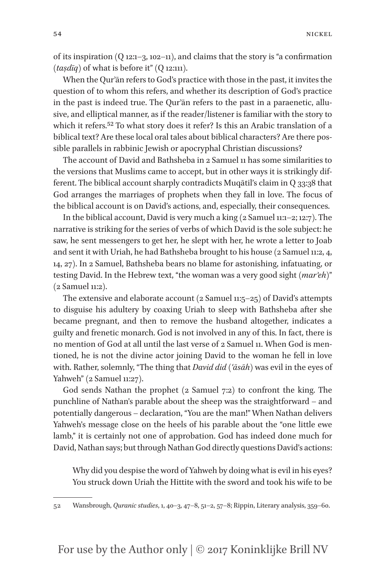of its inspiration  $(Q_12:1-3, 102-11)$ , and claims that the story is "a confirmation *(taṣdīq)* of what is before it" (Q 12:111).

When the Qurʾān refers to God's practice with those in the past, it invites the question of to whom this refers, and whether its description of God's practice in the past is indeed true. The Qurʾān refers to the past in a paraenetic, allusive, and elliptical manner, as if the reader/listener is familiar with the story to which it refers.<sup>52</sup> To what story does it refer? Is this an Arabic translation of a biblical text? Are these local oral tales about biblical characters? Are there possible parallels in rabbinic Jewish or apocryphal Christian discussions?

The account of David and Bathsheba in 2 Samuel 11 has some similarities to the versions that Muslims came to accept, but in other ways it is strikingly different. The biblical account sharply contradicts Muqātil's claim in Q 33:38 that God arranges the marriages of prophets when they fall in love. The focus of the biblical account is on David's actions, and, especially, their consequences.

In the biblical account, David is very much a king (2 Samuel 11:1–2; 12:7). The narrative is striking for the series of verbs of which David is the sole subject: he saw, he sent messengers to get her, he slept with her, he wrote a letter to Joab and sent it with Uriah, he had Bathsheba brought to his house (2 Samuel 11:2, 4, 14, 27). In 2 Samuel, Bathsheba bears no blame for astonishing, infatuating, or testing David. In the Hebrew text, "the woman was a very good sight *(marʾeh)*" (2 Samuel 11:2).

The extensive and elaborate account ( $2$  Samuel 11: $5-25$ ) of David's attempts to disguise his adultery by coaxing Uriah to sleep with Bathsheba after she became pregnant, and then to remove the husband altogether, indicates a guilty and frenetic monarch. God is not involved in any of this. In fact, there is no mention of God at all until the last verse of 2 Samuel 11. When God is mentioned, he is not the divine actor joining David to the woman he fell in love with. Rather, solemnly, "The thing that *David did (ʿāsāh)* was evil in the eyes of Yahweh" (2 Samuel 11:27).

God sends Nathan the prophet (2 Samuel 7:2) to confront the king. The punchline of Nathan's parable about the sheep was the straightforward – and potentially dangerous – declaration, "You are the man!" When Nathan delivers Yahweh's message close on the heels of his parable about the "one little ewe lamb," it is certainly not one of approbation. God has indeed done much for David, Nathan says; but through Nathan God directly questions David's actions:

Why did you despise the word of Yahweh by doing what is evil in his eyes? You struck down Uriah the Hittite with the sword and took his wife to be

52 Wansbrough, *Quranic studies*, 1, 40–3, 47–8, 51–2, 57–8; Rippin, Literary analysis, 359–60.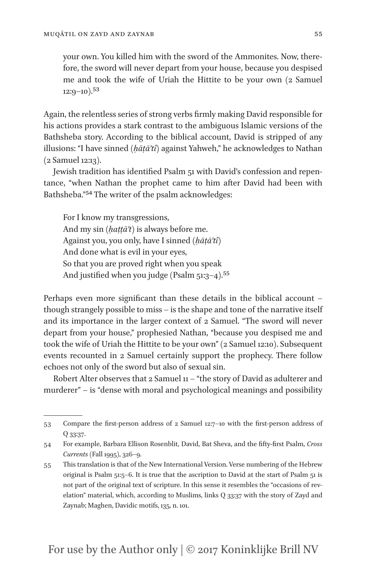your own. You killed him with the sword of the Ammonites. Now, therefore, the sword will never depart from your house, because you despised me and took the wife of Uriah the Hittite to be your own (2 Samuel  $12:9-10$ ).<sup>53</sup>

Again, the relentless series of strong verbs firmly making David responsible for his actions provides a stark contrast to the ambiguous Islamic versions of the Bathsheba story. According to the biblical account, David is stripped of any illusions: "I have sinned *(ḥāṭāʾtî)* against Yahweh," he acknowledges to Nathan (2 Samuel 12:13).

Jewish tradition has identified Psalm 51 with David's confession and repentance, "when Nathan the prophet came to him after David had been with Bathsheba."54 The writer of the psalm acknowledges:

For I know my transgressions, And my sin *(ḥaṭṭāʾt)* is always before me. Against you, you only, have I sinned *(ḥāṭāʾtî)* And done what is evil in your eyes, So that you are proved right when you speak And justified when you judge (Psalm  $51:3-4$ ).<sup>55</sup>

Perhaps even more significant than these details in the biblical account – though strangely possible to miss – is the shape and tone of the narrative itself and its importance in the larger context of 2 Samuel. "The sword will never depart from your house," prophesied Nathan, "because you despised me and took the wife of Uriah the Hittite to be your own" (2 Samuel 12:10). Subsequent events recounted in 2 Samuel certainly support the prophecy. There follow echoes not only of the sword but also of sexual sin.

Robert Alter observes that 2 Samuel 11 – "the story of David as adulterer and murderer" – is "dense with moral and psychological meanings and possibility

 $53$  Compare the first-person address of 2 Samuel 12:7–10 with the first-person address of Q 33:37.

<sup>54</sup> For example, Barbara Ellison Rosenblit, David, Bat Sheva, and the fifty-first Psalm, *Cross Currents* (Fall 1995), 326–9.

<sup>55</sup> This translation is that of the New International Version. Verse numbering of the Hebrew original is Psalm 51:5–6. It is true that the ascription to David at the start of Psalm 51 is not part of the original text of scripture. In this sense it resembles the "occasions of revelation" material, which, according to Muslims, links Q 33:37 with the story of Zayd and Zaynab; Maghen, Davidic motifs, 135, n. 101.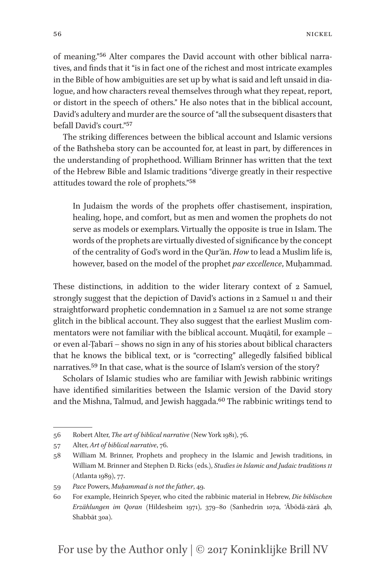of meaning."56 Alter compares the David account with other biblical narratives, and finds that it "is in fact one of the richest and most intricate examples in the Bible of how ambiguities are set up by what is said and left unsaid in dialogue, and how characters reveal themselves through what they repeat, report, or distort in the speech of others." He also notes that in the biblical account, David's adultery and murder are the source of "all the subsequent disasters that befall David's court."57

The striking diffferences between the biblical account and Islamic versions of the Bathsheba story can be accounted for, at least in part, by differences in the understanding of prophethood. William Brinner has written that the text of the Hebrew Bible and Islamic traditions "diverge greatly in their respective attitudes toward the role of prophets."58

In Judaism the words of the prophets offer chastisement, inspiration, healing, hope, and comfort, but as men and women the prophets do not serve as models or exemplars. Virtually the opposite is true in Islam. The words of the prophets are virtually divested of significance by the concept of the centrality of God's word in the Qurʾān. *How* to lead a Muslim life is, however, based on the model of the prophet *par excellence*, Muḥammad.

These distinctions, in addition to the wider literary context of 2 Samuel, strongly suggest that the depiction of David's actions in 2 Samuel 11 and their straightforward prophetic condemnation in 2 Samuel 12 are not some strange glitch in the biblical account. They also suggest that the earliest Muslim commentators were not familiar with the biblical account. Muqātil, for example – or even al-Ṭabarī – shows no sign in any of his stories about biblical characters that he knows the biblical text, or is "correcting" allegedly falsified biblical narratives.59 In that case, what is the source of Islam's version of the story?

Scholars of Islamic studies who are familiar with Jewish rabbinic writings have identified similarities between the Islamic version of the David story and the Mishna, Talmud, and Jewish haggada.<sup>60</sup> The rabbinic writings tend to

<sup>56</sup> Robert Alter, *The art of biblical narrative* (New York 1981), 76.

<sup>57</sup> Alter, *Art of biblical narrative*, 76.

<sup>58</sup> William M. Brinner, Prophets and prophecy in the Islamic and Jewish traditions, in William M. Brinner and Stephen D. Ricks (eds.), *Studies in Islamic and Judaic traditions II* (Atlanta 1989), 77.

<sup>59</sup> *Pace* Powers, *Muḥammad is not the father*, 49.

<sup>60</sup> For example, Heinrich Speyer, who cited the rabbinic material in Hebrew, *Die biblischen Erzählungen im Qoran* (Hildesheim 1971), 379–80 (Sanhedrin 107a, ʿĀbōdā-zārā 4b, Shabbāt 30a).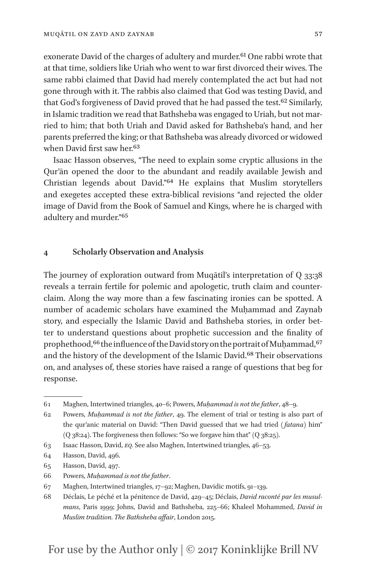exonerate David of the charges of adultery and murder.<sup>61</sup> One rabbi wrote that at that time, soldiers like Uriah who went to war first divorced their wives. The same rabbi claimed that David had merely contemplated the act but had not gone through with it. The rabbis also claimed that God was testing David, and that God's forgiveness of David proved that he had passed the test.<sup>62</sup> Similarly, in Islamic tradition we read that Bathsheba was engaged to Uriah, but not married to him; that both Uriah and David asked for Bathsheba's hand, and her parents preferred the king; or that Bathsheba was already divorced or widowed when David first saw her.<sup>63</sup>

Isaac Hasson observes, "The need to explain some cryptic allusions in the Qurʾān opened the door to the abundant and readily available Jewish and Christian legends about David."64 He explains that Muslim storytellers and exegetes accepted these extra-biblical revisions "and rejected the older image of David from the Book of Samuel and Kings, where he is charged with adultery and murder."65

#### **4 Scholarly Observation and Analysis**

The journey of exploration outward from Muqātil's interpretation of Q 33:38 reveals a terrain fertile for polemic and apologetic, truth claim and counterclaim. Along the way more than a few fascinating ironies can be spotted. A number of academic scholars have examined the Muḥammad and Zaynab story, and especially the Islamic David and Bathsheba stories, in order better to understand questions about prophetic succession and the finality of prophethood,<sup>66</sup> the influence of the David story on the portrait of Muḥammad, 67 and the history of the development of the Islamic David.<sup>68</sup> Their observations on, and analyses of, these stories have raised a range of questions that beg for response.

- 64 Hasson, David, 496.
- 65 Hasson, David, 497.
- 66 Powers, *Muḥammad is not the father*.

<sup>61</sup> Maghen, Intertwined triangles, 40–6; Powers, *Muḥammad is not the father*, 48–9.

<sup>62</sup> Powers, *Muḥammad is not the father*, 49. The element of trial or testing is also part of the qurʾanic material on David: "Then David guessed that we had tried *( fatana)* him"  $(Q_38:24)$ . The forgiveness then follows: "So we forgave him that"  $(Q_38:25)$ .

<sup>63</sup> Isaac Hasson, David, *EQ.* See also Maghen, Intertwined triangles, 46–53.

<sup>67</sup> Maghen, Intertwined triangles, 17–92; Maghen, Davidic motifs, 91–139.

<sup>68</sup> Déclais, Le péché et la pénitence de David, 429–45; Déclais, *David raconté par les musulmans*, Paris 1999; Johns, David and Bathsheba, 225–66; Khaleel Mohammed, *David in Muslim tradition. The Bathsheba afffair*, London 2015.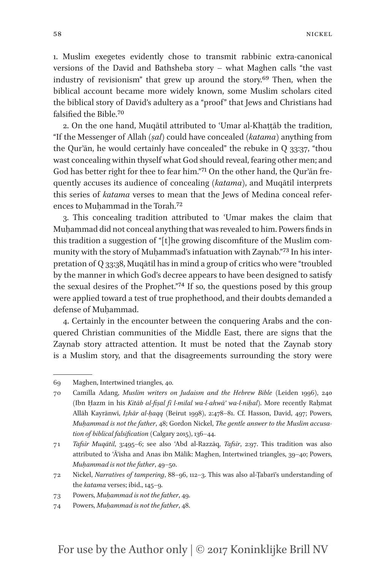1. Muslim exegetes evidently chose to transmit rabbinic extra-canonical versions of the David and Bathsheba story – what Maghen calls "the vast industry of revisionism" that grew up around the story.69 Then, when the biblical account became more widely known, some Muslim scholars cited the biblical story of David's adultery as a "proof" that Jews and Christians had falsified the Bible.<sup>70</sup>

2. On the one hand, Muqātil attributed to ʿUmar al-Khaṭṭāb the tradition, "If the Messenger of Allah *(ṣal)* could have concealed *(katama)* anything from the Qurʾān, he would certainly have concealed" the rebuke in Q 33:37, "thou wast concealing within thyself what God should reveal, fearing other men; and God has better right for thee to fear him."71 On the other hand, the Qurʾān frequently accuses its audience of concealing *(katama)*, and Muqātil interprets this series of *katama* verses to mean that the Jews of Medina conceal references to Muhammad in the Torah.<sup>72</sup>

3. This concealing tradition attributed to 'Umar makes the claim that Muḥammad did not conceal anything that was revealed to him. Powers finds in this tradition a suggestion of "[t]he growing discomfiture of the Muslim community with the story of Muḥammad's infatuation with Zaynab."73 In his interpretation of Q 33:38, Muqātil has in mind a group of critics who were "troubled by the manner in which God's decree appears to have been designed to satisfy the sexual desires of the Prophet."74 If so, the questions posed by this group were applied toward a test of true prophethood, and their doubts demanded a defense of Muhammad.

4. Certainly in the encounter between the conquering Arabs and the conquered Christian communities of the Middle East, there are signs that the Zaynab story attracted attention. It must be noted that the Zaynab story is a Muslim story, and that the disagreements surrounding the story were

<sup>69</sup> Maghen, Intertwined triangles, 40.

<sup>70</sup> Camilla Adang, *Muslim writers on Judaism and the Hebrew Bible* (Leiden 1996), 240 (Ibn Hazm in his *Kitāb al-fisal fī l-milal wa-l-ahwā*' wa-l-nihal). More recently Rahmat Allāh Kayrānwī, *Iẓhār al-ḥaqq* (Beirut 1998), 2:478–81. Cf. Hasson, David, 497; Powers, *Muḥammad is not the father*, 48; Gordon Nickel, *The gentle answer to the Muslim accusa*tion of biblical falsification (Calgary 2015), 136-44.

<sup>71</sup> *Tafsīr Muqātil*, 3:495–6; see also ʿAbd al-Razzāq, *Tafsīr*, 2:97. This tradition was also attributed to ʿĀʾisha and Anas ibn Mālik: Maghen, Intertwined triangles, 39–40; Powers, *Muḥammad is not the father*, 49–50.

<sup>72</sup> Nickel, *Narratives of tampering*, 88–96, 112–3. This was also al-Ṭabarī's understanding of the *katama* verses; ibid., 145–9.

<sup>73</sup> Powers, *Muḥammad is not the father*, 49.

<sup>74</sup> Powers, *Muḥammad is not the father*, 48.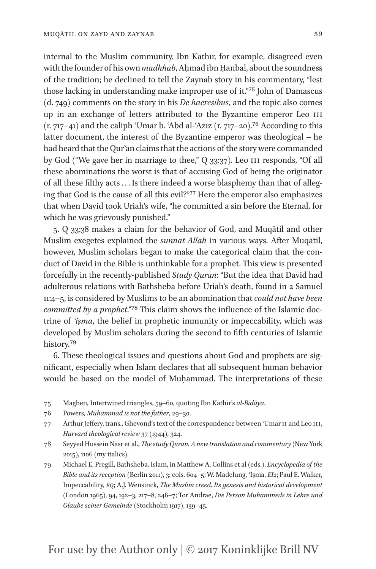internal to the Muslim community. Ibn Kathīr, for example, disagreed even with the founder of his own *madhhab*, Aḥmad ibn Ḥanbal, about the soundness of the tradition; he declined to tell the Zaynab story in his commentary, "lest those lacking in understanding make improper use of it."75 John of Damascus (d. 749) comments on the story in his *De haeresibus*, and the topic also comes up in an exchange of letters attributed to the Byzantine emperor Leo III  $(r. 717-41)$  and the caliph 'Umar b. 'Abd al-'Azīz  $(r. 717-20)$ .<sup>76</sup> According to this latter document, the interest of the Byzantine emperor was theological – he had heard that the Qurʾān claims that the actions of the story were commanded by God ("We gave her in marriage to thee," Q 33:37). Leo III responds, "Of all these abominations the worst is that of accusing God of being the originator of all these filthy acts . . . Is there indeed a worse blasphemy than that of alleging that God is the cause of all this evil?"77 Here the emperor also emphasizes that when David took Uriah's wife, "he committed a sin before the Eternal, for which he was grievously punished."

5. Q 33:38 makes a claim for the behavior of God, and Muqātil and other Muslim exegetes explained the *sunnat Allāh* in various ways. After Muqātil, however, Muslim scholars began to make the categorical claim that the conduct of David in the Bible is unthinkable for a prophet. This view is presented forcefully in the recently-published *Study Quran*: "But the idea that David had adulterous relations with Bathsheba before Uriah's death, found in 2 Samuel 11:4–5, is considered by Muslims to be an abomination that *could not have been committed by a prophet*."78 This claim shows the influence of the Islamic doctrine of *ʿiṣma*, the belief in prophetic immunity or impeccability, which was developed by Muslim scholars during the second to fifth centuries of Islamic history.79

6. These theological issues and questions about God and prophets are significant, especially when Islam declares that all subsequent human behavior would be based on the model of Muḥammad. The interpretations of these

<sup>75</sup> Maghen, Intertwined triangles, 59–60, quoting Ibn Kathīr's *al-Bidāya*.

<sup>76</sup> Powers, *Muḥammad is not the father*, 29–30.

<sup>77</sup> Arthur Jefffery, trans., Ghevond's text of the correspondence between ʿUmar II and Leo III, *Harvard theological review* 37 (1944), 324.

<sup>78</sup> Seyyed Hussein Nasr et al., *The study Quran. A new translation and commentary* (New York 2015), 1106 (my italics).

<sup>79</sup> Michael E. Pregill, Bathsheba. Islam, in Matthew A. Collins et al (eds.), *Encyclopedia of the Bible and its reception* (Berlin 2011), 3: cols. 604–5; W. Madelung, ʿIṣma, *EI2*; Paul E. Walker, Impeccability, *EQ*; A.J. Wensinck, *The Muslim creed. Its genesis and historical development* (London 1965), 94, 192–3, 217–8, 246–7; Tor Andrae, *Die Person Muhammeds in Lehre und Glaube seiner Gemeinde* (Stockholm 1917), 139–45.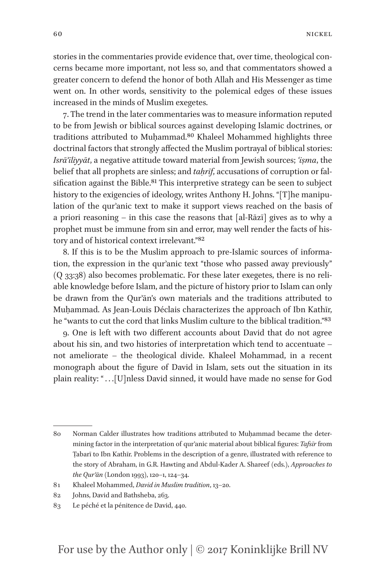stories in the commentaries provide evidence that, over time, theological concerns became more important, not less so, and that commentators showed a greater concern to defend the honor of both Allah and His Messenger as time went on. In other words, sensitivity to the polemical edges of these issues increased in the minds of Muslim exegetes.

7. The trend in the later commentaries was to measure information reputed to be from Jewish or biblical sources against developing Islamic doctrines, or traditions attributed to Muhammad.<sup>80</sup> Khaleel Mohammed highlights three doctrinal factors that strongly affected the Muslim portrayal of biblical stories: *Isrāʾīliyyāt*, a negative attitude toward material from Jewish sources; *ʿiṣma*, the belief that all prophets are sinless; and *tahrīf*, accusations of corruption or falsification against the Bible.<sup>81</sup> This interpretive strategy can be seen to subject history to the exigencies of ideology, writes Anthony H. Johns. "[T]he manipulation of the qurʾanic text to make it support views reached on the basis of a priori reasoning – in this case the reasons that [al-Rāzī] gives as to why a prophet must be immune from sin and error, may well render the facts of history and of historical context irrelevant."82

8. If this is to be the Muslim approach to pre-Islamic sources of information, the expression in the qurʾanic text "those who passed away previously" (Q 33:38) also becomes problematic. For these later exegetes, there is no reliable knowledge before Islam, and the picture of history prior to Islam can only be drawn from the Qurʾān's own materials and the traditions attributed to Muhammad. As Jean-Louis Déclais characterizes the approach of Ibn Kathīr, he "wants to cut the cord that links Muslim culture to the biblical tradition."83

9. One is left with two diffferent accounts about David that do not agree about his sin, and two histories of interpretation which tend to accentuate – not ameliorate – the theological divide. Khaleel Mohammad, in a recent monograph about the figure of David in Islam, sets out the situation in its plain reality: " . . .[U]nless David sinned, it would have made no sense for God

<sup>80</sup> Norman Calder illustrates how traditions attributed to Muḥammad became the determining factor in the interpretation of qur'anic material about biblical figures: *Tafsīr* from Ṭabarī to Ibn Kathīr. Problems in the description of a genre, illustrated with reference to the story of Abraham, in G.R. Hawting and Abdul-Kader A. Shareef (eds.), *Approaches to the Qurʾān* (London 1993), 120–1, 124–34.

<sup>81</sup> Khaleel Mohammed, *David in Muslim tradition*, 13–20.

<sup>82</sup> Johns, David and Bathsheba, 263.

<sup>83</sup> Le péché et la pénitence de David, 440.